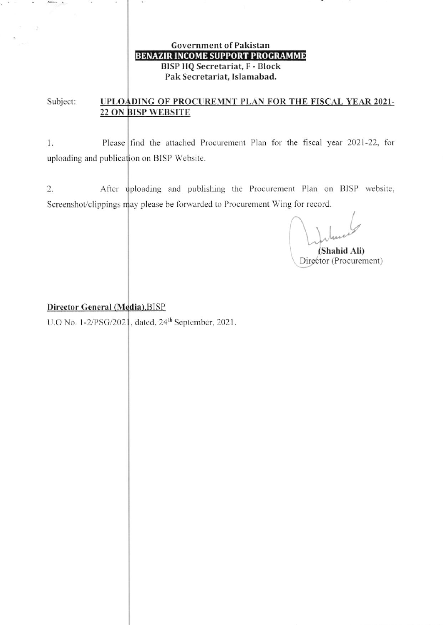## **Government of Pakistan BENAZIR INCOME SUPPORT PROGRAMME BISP HQ Secretariat, F - Block** Pak Secretariat, Islamabad.

Subject: UPLOADING OF PROCUREMNT PLAN FOR THE FISCAL YEAR 2021-22 ON BISP WEBSITE

 $1.$ Please find the attached Procurement Plan for the fiscal year 2021-22, for uploading and publication on BISP Website.

 $2.$ After uploading and publishing the Procurement Plan on BISP website, Screenshot/clippings may please be forwarded to Procurement Wing for record.

(Shahid Ali) Director (Procurement)

## Director General (Media), BISP

Amin. . .

 $\rightarrow$ 

U.O No. 1-2/PSG/2021, dated, 24<sup>th</sup> September, 2021.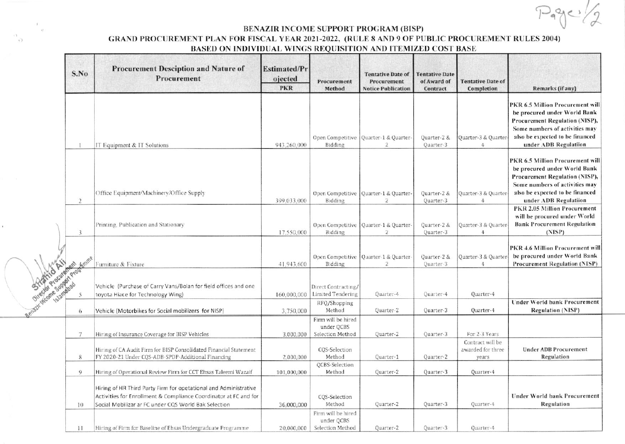## BENAZIR INCOME SUPPORT PROGRAM (BISP)

 $\sqrt{2}$ 

## GRAND PROCUREMENT PLAN FOR FISCAL YEAR 2021-2022, (RULE 8 AND 9 OF PUBLIC PROCUREMENT RULES 2004) BASED ON INDIVIDUAL WINGS REQUISITION AND ITEMIZED COST BASE

|                       | S.No           | <b>Procurement Desciption and Nature of</b><br>Procurement                                                                                                                                   | <b>Estimated/Pr</b><br>ojected<br><b>PKR</b> | Procurement<br>Method                                | <b>Tentative Date of</b><br>Procurement<br><b>Notice Publication</b> | <b>Tentative Date</b><br>of Award of<br>Contract | <b>Tentative Date of</b><br>Completion         | Remarks (if any)                                                                                                                                                                                        |
|-----------------------|----------------|----------------------------------------------------------------------------------------------------------------------------------------------------------------------------------------------|----------------------------------------------|------------------------------------------------------|----------------------------------------------------------------------|--------------------------------------------------|------------------------------------------------|---------------------------------------------------------------------------------------------------------------------------------------------------------------------------------------------------------|
| Gladesh Report Former |                | IT Equipment & IT Solutions                                                                                                                                                                  | 943,260,000                                  | Open Competitive<br>Bidding                          | Quarter-1 & Quarter-<br>$\overline{2}$                               | Quarter-2 &<br>Quarter-3                         | Quarter-3 & Quarter-<br>4                      | PKR 6.5 Million Procurement will<br>be procured under World Bank<br><b>Procurement Regulation (NISP),</b><br>Some numbers of activities may<br>also be expected to be financed<br>under ADB Regulatiion |
|                       | $\overline{2}$ | Office Equipment/Machinery/Office Supply                                                                                                                                                     | 399.033.000                                  | Open Competitive<br>Bidding                          | Quarter-1 & Quarter-<br>2                                            | Quarter-2 &<br>Quarter-3                         | Quarter-3 & Quarter-<br>$\overline{4}$         | PKR 6.5 Million Procurement will<br>be procured under World Bank<br>Procurement Regulation (NISP),<br>Some numbers of activities may<br>also be expected to be financed<br>under ADB Regulatiion        |
|                       | 3              | Printing, Publication and Stationary                                                                                                                                                         | 17.550,000                                   | Open Competitive<br>Bidding                          | Quarter-1 & Quarter-<br>2                                            | Quarter-2 &<br>Quarter-3                         | Quarter-3 & Quarter<br>$4\phantom{.0}$         | PKR 2.05 Million Procurement<br>will be procured under World<br><b>Bank Procurement Regulation</b><br>(NISP)                                                                                            |
|                       |                | Furniture & Fixture                                                                                                                                                                          | 41.943.600                                   | Open Competitive<br>Bidding                          | Quarter-1 & Quarter-<br>$\mathbf{2}$                                 | Quarter-2 &<br>Quarter-3                         | Quarter-3 & Quarter-<br>4                      | PKR 4.6 Million Procurement will<br>be procured under World Bank<br><b>Procurement Regulation (NISP)</b>                                                                                                |
|                       |                | Vehicle (Purchase of Carry Vans/Bolan for field offices and one<br>toyota Hiace for Technology Wing)                                                                                         | 160,000,000                                  | Direct Contracting/<br><b>Limited Tendering</b>      | Quarter-4                                                            | Quarter-4                                        | Quarter-4                                      |                                                                                                                                                                                                         |
|                       | 6              | Vehicle (Motorbikes for Social mobilizers for NISP)                                                                                                                                          | 3,750,000                                    | RFQ/Shopping<br>Method                               | Quarter-2                                                            | Quarter-3                                        | Quarter-4                                      | <b>Under World bank Procurement</b><br><b>Regulation (NISP)</b>                                                                                                                                         |
|                       | 7              | Hiring of Insurance Coverage for BISP Vehicles                                                                                                                                               | 3,000,000                                    | Firm will be hired<br>under QCBS<br>Selection Method | Quarter-2                                                            | Quarter-3                                        | For 2-3 Years                                  |                                                                                                                                                                                                         |
|                       | 8              | Hiring of CA Audit Firm for BISP Consolidated Financial Statement<br>FY 2020-21 Under CQS-ADB-SPDP-Additional Financing                                                                      | 2,000,000                                    | CQS-Selection<br>Method                              | Quarter-1                                                            | Quarter-2                                        | Contract will be<br>awarded for three<br>years | <b>Under ADB Procurement</b><br>Regulation                                                                                                                                                              |
|                       | 9              | Hiring of Operational Review Firm for CCT Ehsas Taleemi Wazaif                                                                                                                               | 101,000,000                                  | <b>QCBS-Selection</b><br>Method                      | Quarter-2                                                            | Quarter-3                                        | Quarter-4                                      |                                                                                                                                                                                                         |
|                       | 10             | Hiring of HR Third Party Firm for opetational and Administrative<br>Activities for Enrollment & Compliance Coordinator at FC and for<br>Social Mobilizar ar FC under CQS World Bak Selection | 36,000,000                                   | CQS-Selection<br>Method                              | Quarter-2                                                            | Quarter-3                                        | Quarter-4                                      | Under World bank Procurement<br>Regulation                                                                                                                                                              |
|                       | $\frac{1}{2}$  | Hiring of Firm for Baseline of Ehsas Undergraduate Programme                                                                                                                                 | 20,000,000                                   | Firm will be hired<br>under QCBS<br>Selection Method | Quarter-2                                                            | Quarter-3                                        | Quarter-4                                      |                                                                                                                                                                                                         |